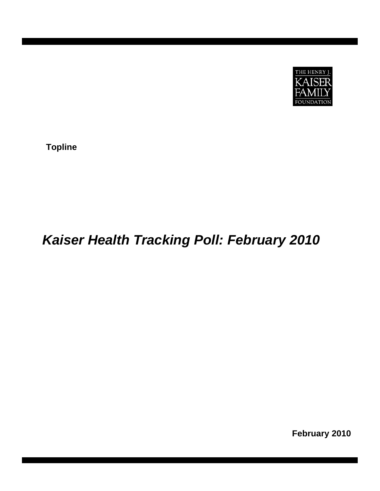

**Topline** 

# *Kaiser Health Tracking Poll: February 2010*

**February 2010**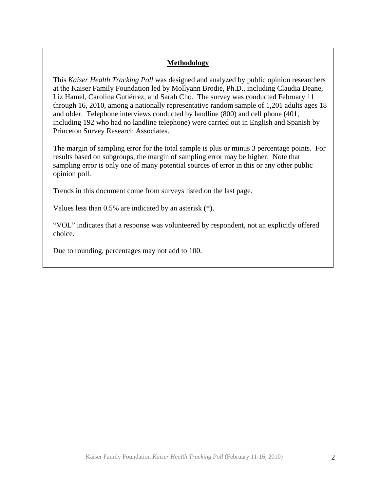# **Methodology**

This *Kaiser Health Tracking Poll* was designed and analyzed by public opinion researchers at the Kaiser Family Foundation led by Mollyann Brodie, Ph.D., including Claudia Deane, Liz Hamel, Carolina Gutiérrez, and Sarah Cho. The survey was conducted February 11 through 16, 2010, among a nationally representative random sample of 1,201 adults ages 18 and older. Telephone interviews conducted by landline (800) and cell phone (401, including 192 who had no landline telephone) were carried out in English and Spanish by Princeton Survey Research Associates.

The margin of sampling error for the total sample is plus or minus 3 percentage points. For results based on subgroups, the margin of sampling error may be higher. Note that sampling error is only one of many potential sources of error in this or any other public opinion poll.

Trends in this document come from surveys listed on the last page.

Values less than 0.5% are indicated by an asterisk (\*).

"VOL" indicates that a response was volunteered by respondent, not an explicitly offered choice.

Due to rounding, percentages may not add to 100.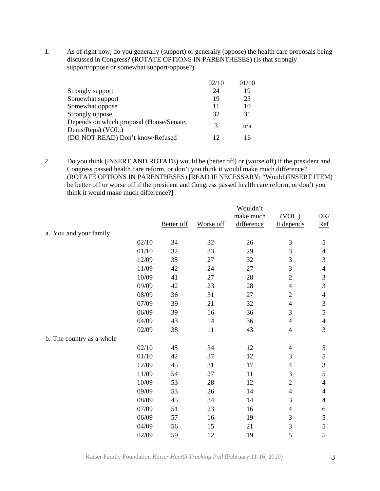1. As of right now, do you generally (support) or generally (oppose) the health care proposals being discussed in Congress? (ROTATE OPTIONS IN PARENTHESES) (Is that strongly support/oppose or somewhat support/oppose?)

|                                                               | 02/10 | )1/10 |
|---------------------------------------------------------------|-------|-------|
| Strongly support                                              | 24    | 19    |
| Somewhat support                                              | 19    | 23    |
| Somewhat oppose                                               | 11    | 10    |
| Strongly oppose                                               | 32    | 31    |
| Depends on which proposal (House/Senate,<br>Dems/Reps) (VOL.) | 3     | n/a   |
| (DO NOT READ) Don't know/Refused                              | 12    | 16    |

2. Do you think (INSERT AND ROTATE) would be (better off) or (worse off) if the president and Congress passed health care reform, or don't you think it would make much difference? (ROTATE OPTIONS IN PARENTHESES) [READ IF NECESSARY: "Would (INSERT ITEM) be better off or worse off if the president and Congress passed health care reform, or don't you think it would make much difference?]

|                           |       | <b>Better</b> off | Worse off | Wouldn't<br>make much<br>difference | (VOL.)<br>It depends        | DK/<br><u>Ref</u>           |
|---------------------------|-------|-------------------|-----------|-------------------------------------|-----------------------------|-----------------------------|
| a. You and your family    |       |                   |           |                                     |                             |                             |
|                           | 02/10 | 34                | 32        | 26                                  | $\ensuremath{\mathfrak{Z}}$ | $\mathfrak s$               |
|                           | 01/10 | 32                | 33        | 29                                  | $\overline{3}$              | $\overline{4}$              |
|                           | 12/09 | 35                | 27        | 32                                  | 3                           | $\mathfrak{Z}$              |
|                           | 11/09 | 42                | 24        | 27                                  | 3                           | $\overline{4}$              |
|                           | 10/09 | 41                | 27        | 28                                  | $\sqrt{2}$                  | $\ensuremath{\mathfrak{Z}}$ |
|                           | 09/09 | 42                | 23        | 28                                  | $\overline{4}$              | 3                           |
|                           | 08/09 | 36                | 31        | 27                                  | $\overline{2}$              | $\overline{4}$              |
|                           | 07/09 | 39                | 21        | 32                                  | $\overline{4}$              | $\mathfrak{Z}$              |
|                           | 06/09 | 39                | 16        | 36                                  | 3                           | $\mathfrak s$               |
|                           | 04/09 | 43                | 14        | 36                                  | $\overline{4}$              | $\overline{4}$              |
|                           | 02/09 | 38                | 11        | 43                                  | $\overline{4}$              | 3                           |
| b. The country as a whole |       |                   |           |                                     |                             |                             |
|                           | 02/10 | 45                | 34        | 12                                  | $\overline{4}$              | 5                           |
|                           | 01/10 | 42                | 37        | 12                                  | 3                           | $\mathfrak s$               |
|                           | 12/09 | 45                | 31        | 17                                  | $\overline{4}$              | $\mathfrak{Z}$              |
|                           | 11/09 | 54                | 27        | 11                                  | 3                           | 5                           |
|                           | 10/09 | 53                | 28        | 12                                  | $\overline{2}$              | $\overline{4}$              |
|                           | 09/09 | 53                | 26        | 14                                  | $\overline{4}$              | $\overline{4}$              |
|                           | 08/09 | 45                | 34        | 14                                  | 3                           | $\overline{4}$              |
|                           | 07/09 | 51                | 23        | 16                                  | $\overline{4}$              | 6                           |
|                           | 06/09 | 57                | 16        | 19                                  | 3                           | $\mathfrak s$               |
|                           | 04/09 | 56                | 15        | 21                                  | $\overline{3}$              | $\mathfrak s$               |
|                           | 02/09 | 59                | 12        | 19                                  | 5                           | 5                           |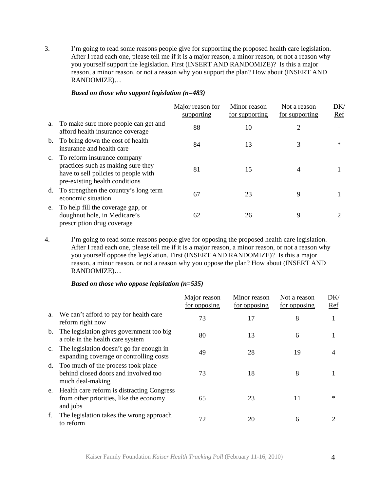3. I'm going to read some reasons people give for supporting the proposed health care legislation. After I read each one, please tell me if it is a major reason, a minor reason, or not a reason why you yourself support the legislation. First (INSERT AND RANDOMIZE)? Is this a major reason, a minor reason, or not a reason why you support the plan? How about (INSERT AND RANDOMIZE)…

## *Based on those who support legislation (n=483)*

|             |                                                                                                                                             | Major reason for<br>supporting | Minor reason<br>for supporting | Not a reason<br>for supporting | DK/<br>Ref |
|-------------|---------------------------------------------------------------------------------------------------------------------------------------------|--------------------------------|--------------------------------|--------------------------------|------------|
| a.          | To make sure more people can get and<br>afford health insurance coverage                                                                    | 88                             | 10                             | $\overline{2}$                 |            |
| b.          | To bring down the cost of health<br>insurance and health care                                                                               | 84                             | 13                             | 3                              | $\ast$     |
| $c_{\cdot}$ | To reform insurance company<br>practices such as making sure they<br>have to sell policies to people with<br>pre-existing health conditions | 81                             | 15                             | 4                              |            |
| d.          | To strengthen the country's long term<br>economic situation                                                                                 | 67                             | 23                             | 9                              |            |
| e.          | To help fill the coverage gap, or<br>doughnut hole, in Medicare's<br>prescription drug coverage                                             | 62                             | 26                             | 9                              |            |

4. I'm going to read some reasons people give for opposing the proposed health care legislation. After I read each one, please tell me if it is a major reason, a minor reason, or not a reason why you yourself oppose the legislation. First (INSERT AND RANDOMIZE)? Is this a major reason, a minor reason, or not a reason why you oppose the plan? How about (INSERT AND RANDOMIZE)…

# *Based on those who oppose legislation (n=535)*

|             |                                                                                                   | Major reason<br>for opposing | Minor reason<br>for opposing | Not a reason<br>for opposing | DK/<br>Ref |
|-------------|---------------------------------------------------------------------------------------------------|------------------------------|------------------------------|------------------------------|------------|
| a.          | We can't afford to pay for health care<br>reform right now                                        | 73                           | 17                           | 8                            |            |
| b.          | The legislation gives government too big<br>a role in the health care system                      | 80                           | 13                           | 6                            |            |
| $c_{\cdot}$ | The legislation doesn't go far enough in<br>expanding coverage or controlling costs               | 49                           | 28                           | 19                           | 4          |
| d.          | Too much of the process took place<br>behind closed doors and involved too<br>much deal-making    | 73                           | 18                           | 8                            |            |
| e.          | Health care reform is distracting Congress<br>from other priorities, like the economy<br>and jobs | 65                           | 23                           | 11                           | $\ast$     |
| f.          | The legislation takes the wrong approach<br>to reform                                             | 72                           | 20                           | 6                            |            |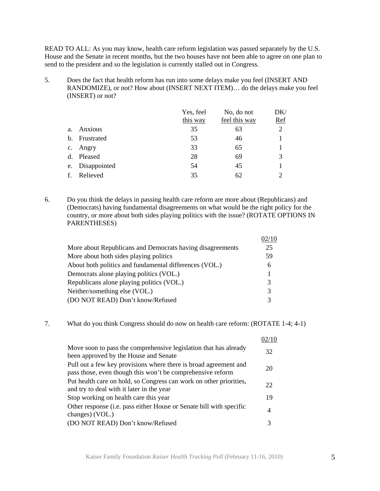READ TO ALL: As you may know, health care reform legislation was passed separately by the U.S. House and the Senate in recent months, but the two houses have not been able to agree on one plan to send to the president and so the legislation is currently stalled out in Congress.

5. Does the fact that health reform has run into some delays make you feel (INSERT AND RANDOMIZE), or not? How about (INSERT NEXT ITEM)… do the delays make you feel (INSERT) or not?

|    |              | Yes, feel<br>this way | No, do not<br>feel this way | DK/<br>$Ref$   |
|----|--------------|-----------------------|-----------------------------|----------------|
| a. | Anxious      | 35                    | 63                          | $\overline{2}$ |
| b. | Frustrated   | 53                    | 46                          |                |
| c. | Angry        | 33                    | 65                          |                |
| d. | Pleased      | 28                    | 69                          | 3              |
| e. | Disappointed | 54                    | 45                          |                |
| f. | Relieved     | 35                    | 62                          | $\mathcal{D}$  |

6. Do you think the delays in passing health care reform are more about (Republicans) and (Democrats) having fundamental disagreements on what would be the right policy for the country, or more about both sides playing politics with the issue? (ROTATE OPTIONS IN PARENTHESES)

|                                                           | )2/10 |
|-----------------------------------------------------------|-------|
| More about Republicans and Democrats having disagreements | 25    |
| More about both sides playing politics                    | 59    |
| About both politics and fundamental differences (VOL.)    | 6     |
| Democrats alone playing politics (VOL.)                   | 1     |
| Republicans alone playing politics (VOL.)                 | 3     |
| Neither/something else (VOL.)                             | 3     |
| (DO NOT READ) Don't know/Refused                          | 3     |

7. What do you think Congress should do now on health care reform: (ROTATE 1-4; 4-1)

|                                                                                                                                | )2/10 |
|--------------------------------------------------------------------------------------------------------------------------------|-------|
| Move soon to pass the comprehensive legislation that has already<br>been approved by the House and Senate                      | 32    |
| Pull out a few key provisions where there is broad agreement and<br>pass those, even though this won't be comprehensive reform | 20    |
| Put health care on hold, so Congress can work on other priorities,<br>and try to deal with it later in the year                | 22    |
| Stop working on health care this year                                                                                          | 19    |
| Other response (i.e. pass either House or Senate bill with specific<br>changes) (VOL.)                                         | 4     |
| (DO NOT READ) Don't know/Refused                                                                                               | 3     |
|                                                                                                                                |       |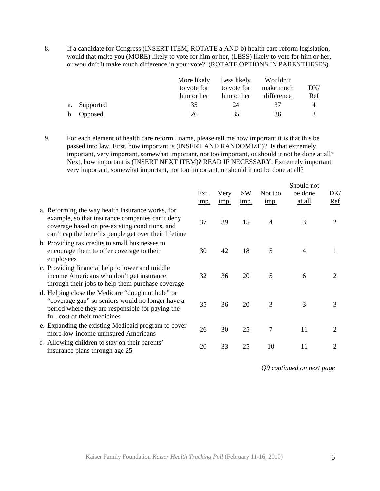8. If a candidate for Congress (INSERT ITEM; ROTATE a AND b) health care reform legislation, would that make you (MORE) likely to vote for him or her, (LESS) likely to vote for him or her, or wouldn't it make much difference in your vote? (ROTATE OPTIONS IN PARENTHESES)

|              | More likely<br>to vote for<br>him or her | Less likely<br>to vote for<br>him or her | Wouldn't<br>make much<br>difference | DK/<br><u>Ref</u> |
|--------------|------------------------------------------|------------------------------------------|-------------------------------------|-------------------|
| a. Supported | 35                                       | 24                                       | 37                                  | 4                 |
| b. Opposed   | 26                                       | 35                                       | 36                                  |                   |

9. For each element of health care reform I name, please tell me how important it is that this be passed into law. First, how important is (INSERT AND RANDOMIZE)? Is that extremely important, very important, somewhat important, not too important, or should it not be done at all? Next, how important is (INSERT NEXT ITEM)? READ IF NECESSARY: Extremely important, very important, somewhat important, not too important, or should it not be done at all?

|                                                                                                                                                                                                                | Ext.<br><u>imp.</u> | Very<br><u>imp.</u> | <b>SW</b><br>imp. | Not too<br>imp. | Should not<br>be done<br>at all | DK/<br><u>Ref</u> |
|----------------------------------------------------------------------------------------------------------------------------------------------------------------------------------------------------------------|---------------------|---------------------|-------------------|-----------------|---------------------------------|-------------------|
| a. Reforming the way health insurance works, for<br>example, so that insurance companies can't deny<br>coverage based on pre-existing conditions, and<br>can't cap the benefits people get over their lifetime | 37                  | 39                  | 15                | $\overline{4}$  | 3                               | 2                 |
| b. Providing tax credits to small businesses to<br>encourage them to offer coverage to their<br>employees                                                                                                      | 30                  | 42                  | 18                | 5               | 4                               | 1                 |
| c. Providing financial help to lower and middle<br>income Americans who don't get insurance<br>through their jobs to help them purchase coverage                                                               | 32                  | 36                  | 20                | 5               | 6                               | 2                 |
| d. Helping close the Medicare "doughnut hole" or<br>"coverage gap" so seniors would no longer have a<br>period where they are responsible for paying the<br>full cost of their medicines                       | 35                  | 36                  | 20                | 3               | 3                               | 3                 |
| e. Expanding the existing Medicaid program to cover<br>more low-income uninsured Americans                                                                                                                     | 26                  | 30                  | 25                | 7               | 11                              | $\overline{2}$    |
| f. Allowing children to stay on their parents'<br>insurance plans through age 25                                                                                                                               | 20                  | 33                  | 25                | 10              | 11                              | 2                 |

*Q9 continued on next page*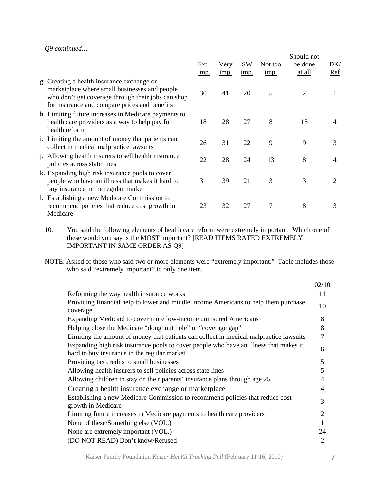#### *Q9 continued…*

|                                                                                                                                                                                                    | Ext.<br><u>1mp.</u> | Very<br>imp. | <b>SW</b><br>imp. | Not too<br>imp. | Should not<br>be done<br>at all | DK/<br><u>Ref</u> |
|----------------------------------------------------------------------------------------------------------------------------------------------------------------------------------------------------|---------------------|--------------|-------------------|-----------------|---------------------------------|-------------------|
| g. Creating a health insurance exchange or<br>marketplace where small businesses and people<br>who don't get coverage through their jobs can shop<br>for insurance and compare prices and benefits | 30                  | 41           | 20                | 5               | $\overline{2}$                  | 1                 |
| h. Limiting future increases in Medicare payments to<br>health care providers as a way to help pay for<br>health reform                                                                            | 18                  | 28           | 27                | 8               | 15                              | 4                 |
| i. Limiting the amount of money that patients can<br>collect in medical malpractice lawsuits                                                                                                       | 26                  | 31           | 22                | 9               | 9                               | 3                 |
| j. Allowing health insurers to sell health insurance<br>policies across state lines                                                                                                                | 22                  | 28           | 24                | 13              | 8                               | 4                 |
| k. Expanding high risk insurance pools to cover<br>people who have an illness that makes it hard to<br>buy insurance in the regular market                                                         | 31                  | 39           | 21                | 3               | 3                               | $\overline{2}$    |
| 1. Establishing a new Medicare Commission to<br>recommend policies that reduce cost growth in<br>Medicare                                                                                          | 23                  | 32           | 27                | 7               | 8                               | 3                 |

10. You said the following elements of health care reform were extremely important. Which one of these would you say is the MOST important? [READ ITEMS RATED EXTREMELY IMPORTANT IN SAME ORDER AS Q9]

NOTE: Asked of those who said two or more elements were "extremely important." Table includes those who said "extremely important" to only one item.

|                                                                                                                                      | 02/10                    |
|--------------------------------------------------------------------------------------------------------------------------------------|--------------------------|
| Reforming the way health insurance works                                                                                             | 11                       |
| Providing financial help to lower and middle income Americans to help them purchase<br>coverage                                      | 10                       |
| Expanding Medicaid to cover more low-income uninsured Americans                                                                      | 8                        |
| Helping close the Medicare "doughnut hole" or "coverage gap"                                                                         | 8                        |
| Limiting the amount of money that patients can collect in medical malpractice lawsuits                                               | $\overline{7}$           |
| Expanding high risk insurance pools to cover people who have an illness that makes it<br>hard to buy insurance in the regular market | 6                        |
| Providing tax credits to small businesses                                                                                            | 5                        |
| Allowing health insurers to sell policies across state lines                                                                         | 5                        |
| Allowing children to stay on their parents' insurance plans through age 25                                                           | 4                        |
| Creating a health insurance exchange or marketplace                                                                                  | $\overline{\mathcal{A}}$ |
| Establishing a new Medicare Commission to recommend policies that reduce cost<br>growth in Medicare                                  | 3                        |
| Limiting future increases in Medicare payments to health care providers                                                              | $\overline{2}$           |
| None of these/Something else (VOL.)                                                                                                  |                          |
| None are extremely important (VOL.)                                                                                                  | 24                       |
| (DO NOT READ) Don't know/Refused                                                                                                     | $\overline{2}$           |

Kaiser Family Foundation *Kaiser Health Tracking Poll* (February 11-16, 2010) 7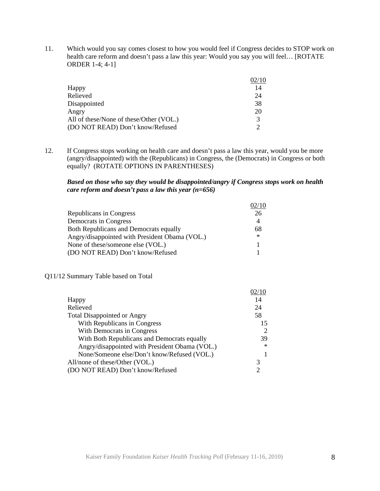11. Which would you say comes closest to how you would feel if Congress decides to STOP work on health care reform and doesn't pass a law this year: Would you say you will feel... [ROTATE ORDER 1-4; 4-1]

|                                         | 02/10         |
|-----------------------------------------|---------------|
| Happy                                   | 14            |
| Relieved                                | 24            |
| Disappointed                            | 38            |
| Angry                                   | 20            |
| All of these/None of these/Other (VOL.) | $\mathcal{R}$ |
| (DO NOT READ) Don't know/Refused        | ∍             |

12. If Congress stops working on health care and doesn't pass a law this year, would you be more (angry/disappointed) with the (Republicans) in Congress, the (Democrats) in Congress or both equally? (ROTATE OPTIONS IN PARENTHESES)

#### *Based on those who say they would be disappointed/angry if Congress stops work on health care reform and doesn't pass a law this year (n=656)*

|                                                | 02/10  |
|------------------------------------------------|--------|
| Republicans in Congress                        | 26     |
| Democrats in Congress                          |        |
| <b>Both Republicans and Democrats equally</b>  | 68     |
| Angry/disappointed with President Obama (VOL.) | $\ast$ |
| None of these/someone else (VOL.)              |        |
| (DO NOT READ) Don't know/Refused               |        |

#### Q11/12 Summary Table based on Total

| 14<br>Happy<br>Relieved<br>24<br><b>Total Disappointed or Angry</b><br>58<br>With Republicans in Congress<br>With Democrats in Congress<br>With Both Republicans and Democrats equally<br>Angry/disappointed with President Obama (VOL.)<br>None/Someone else/Don't know/Refused (VOL.)<br>All/none of these/Other (VOL.)<br>3<br>(DO NOT READ) Don't know/Refused<br>$\mathcal{D}$ |    |
|-------------------------------------------------------------------------------------------------------------------------------------------------------------------------------------------------------------------------------------------------------------------------------------------------------------------------------------------------------------------------------------|----|
|                                                                                                                                                                                                                                                                                                                                                                                     |    |
|                                                                                                                                                                                                                                                                                                                                                                                     |    |
|                                                                                                                                                                                                                                                                                                                                                                                     |    |
|                                                                                                                                                                                                                                                                                                                                                                                     | 15 |
|                                                                                                                                                                                                                                                                                                                                                                                     | 2  |
|                                                                                                                                                                                                                                                                                                                                                                                     | 39 |
|                                                                                                                                                                                                                                                                                                                                                                                     | ∗  |
|                                                                                                                                                                                                                                                                                                                                                                                     |    |
|                                                                                                                                                                                                                                                                                                                                                                                     |    |
|                                                                                                                                                                                                                                                                                                                                                                                     |    |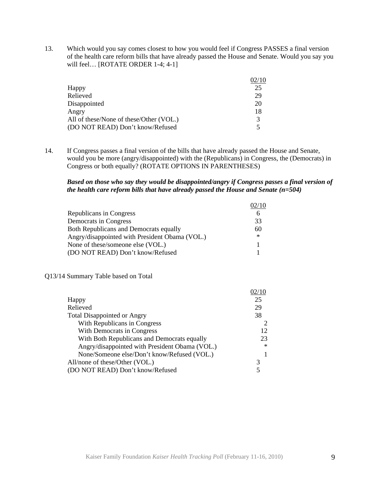13. Which would you say comes closest to how you would feel if Congress PASSES a final version of the health care reform bills that have already passed the House and Senate. Would you say you will feel... [ROTATE ORDER 1-4; 4-1]

|                                         | 02/10         |
|-----------------------------------------|---------------|
| Happy                                   | 25            |
| Relieved                                | 29            |
| Disappointed                            | 20            |
| Angry                                   | 18            |
| All of these/None of these/Other (VOL.) | $\mathcal{R}$ |
| (DO NOT READ) Don't know/Refused        |               |

14. If Congress passes a final version of the bills that have already passed the House and Senate, would you be more (angry/disappointed) with the (Republicans) in Congress, the (Democrats) in Congress or both equally? (ROTATE OPTIONS IN PARENTHESES)

#### *Based on those who say they would be disappointed/angry if Congress passes a final version of the health care reform bills that have already passed the House and Senate (n=504)*

|                                                | 02/10  |
|------------------------------------------------|--------|
| Republicans in Congress                        | 6      |
| Democrats in Congress                          | 33     |
| <b>Both Republicans and Democrats equally</b>  | 60     |
| Angry/disappointed with President Obama (VOL.) | $\ast$ |
| None of these/someone else (VOL.)              |        |
| (DO NOT READ) Don't know/Refused               |        |

#### Q13/14 Summary Table based on Total

| Happy                                          | 25     |
|------------------------------------------------|--------|
| Relieved                                       | 29     |
| <b>Total Disappointed or Angry</b>             | 38     |
| With Republicans in Congress                   |        |
| With Democrats in Congress                     | 12     |
| With Both Republicans and Democrats equally    | 23     |
| Angry/disappointed with President Obama (VOL.) | $\ast$ |
| None/Someone else/Don't know/Refused (VOL.)    |        |
| All/none of these/Other (VOL.)                 | 3      |
| (DO NOT READ) Don't know/Refused               |        |
|                                                |        |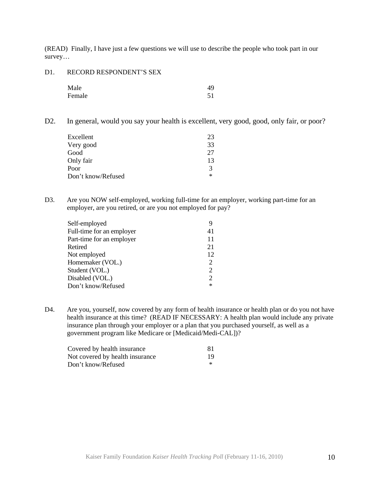(READ) Finally, I have just a few questions we will use to describe the people who took part in our survey…

D1. RECORD RESPONDENT'S SEX

| Male   | 49 |
|--------|----|
| Female | 51 |

D2. In general, would you say your health is excellent, very good, good, only fair, or poor?

| Excellent          | 23            |
|--------------------|---------------|
| Very good          | 33            |
| Good               | 27            |
| Only fair          | 13            |
| Poor               | $\mathcal{R}$ |
| Don't know/Refused | $\ast$        |

D3. Are you NOW self-employed, working full-time for an employer, working part-time for an employer, are you retired, or are you not employed for pay?

| Self-employed             |                |
|---------------------------|----------------|
| Full-time for an employer | 41             |
| Part-time for an employer | 11             |
| Retired                   | 21             |
| Not employed              | 12             |
| Homemaker (VOL.)          | 2              |
| Student (VOL.)            | 2              |
| Disabled (VOL.)           | $\overline{2}$ |
| Don't know/Refused        | ∗              |

D4. Are you, yourself, now covered by any form of health insurance or health plan or do you not have health insurance at this time? (READ IF NECESSARY: A health plan would include any private insurance plan through your employer or a plan that you purchased yourself, as well as a government program like Medicare or [Medicaid/Medi-CAL])?

| Covered by health insurance     | -81    |
|---------------------------------|--------|
| Not covered by health insurance | 19     |
| Don't know/Refused              | $\ast$ |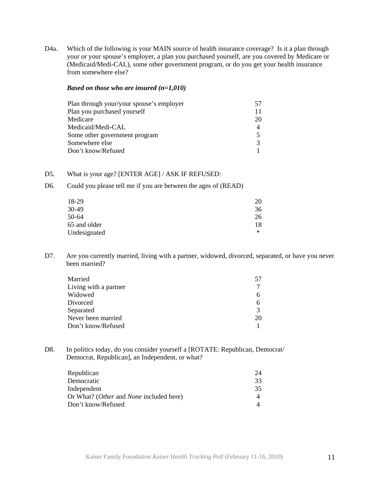D4a. Which of the following is your MAIN source of health insurance coverage? Is it a plan through your or your spouse's employer, a plan you purchased yourself, are you covered by Medicare or (Medicaid/Medi-CAL), some other government program, or do you get your health insurance from somewhere else?

#### *Based on those who are insured (n=1,010)*

| Plan through your/your spouse's employer | 57 |
|------------------------------------------|----|
| Plan you purchased yourself              | 11 |
| Medicare                                 | 20 |
| Medicaid/Medi-CAL                        |    |
| Some other government program            |    |
| Somewhere else                           |    |
| Don't know/Refused                       |    |

# D5. What is your age? [ENTER AGE] / ASK IF REFUSED:

D6. Could you please tell me if you are between the ages of (READ)

| 18-29        | 20        |
|--------------|-----------|
| 30-49        | 36        |
| 50-64        | 26        |
| 65 and older | 18        |
| Undesignated | $^{\ast}$ |

D7. Are you currently married, living with a partner, widowed, divorced, separated, or have you never been married?

| Married               | 57 |
|-----------------------|----|
| Living with a partner |    |
| Widowed               |    |
| Divorced              |    |
| Separated             |    |
| Never been married    | 20 |
| Don't know/Refused    |    |

D8. In politics today, do you consider yourself a [ROTATE: Republican, Democrat/ Democrat, Republican], an Independent, or what?

| Republican                              | 24 |
|-----------------------------------------|----|
| Democratic                              | 33 |
| Independent                             | 35 |
| Or What? (Other and None included here) |    |
| Don't know/Refused                      |    |
|                                         |    |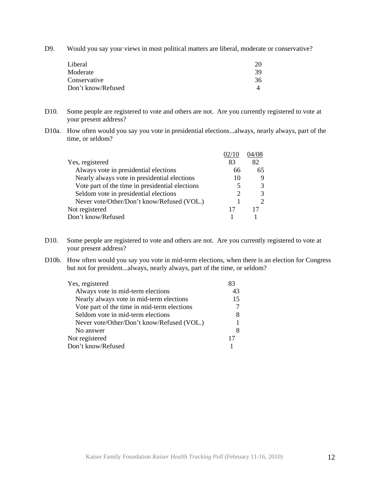D9. Would you say your views in most political matters are liberal, moderate or conservative?

| 20 |
|----|
| 39 |
| 36 |
|    |
|    |

- D10. Some people are registered to vote and others are not. Are you currently registered to vote at your present address?
- D10a. How often would you say you vote in presidential elections...always, nearly always, part of the time, or seldom?

|                                                 |    | )4/08         |
|-------------------------------------------------|----|---------------|
| Yes, registered                                 | 83 | 82            |
| Always vote in presidential elections           | 66 | 65            |
| Nearly always vote in presidential elections    | 10 | 9             |
| Vote part of the time in presidential elections |    | 3             |
| Seldom vote in presidential elections           |    | 3             |
| Never vote/Other/Don't know/Refused (VOL.)      |    | $\mathcal{D}$ |
| Not registered                                  | 17 |               |
| Don't know/Refused                              |    |               |

- D10. Some people are registered to vote and others are not. Are you currently registered to vote at your present address?
- D10b. How often would you say you vote in mid-term elections, when there is an election for Congress but not for president...always, nearly always, part of the time, or seldom?

| Yes, registered                             | 83 |
|---------------------------------------------|----|
| Always vote in mid-term elections           | 43 |
| Nearly always vote in mid-term elections    | 15 |
| Vote part of the time in mid-term elections |    |
| Seldom vote in mid-term elections           |    |
| Never vote/Other/Don't know/Refused (VOL.)  |    |
| No answer                                   |    |
| Not registered                              | 17 |
| Don't know/Refused                          |    |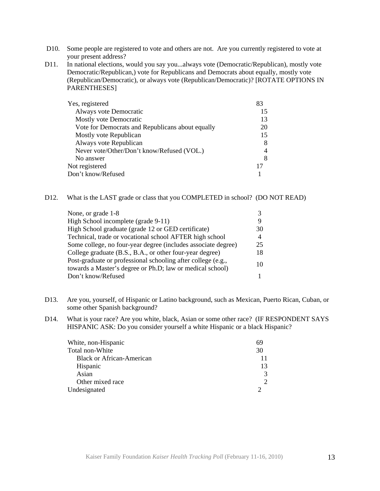- D10. Some people are registered to vote and others are not. Are you currently registered to vote at your present address?
- D11. In national elections, would you say you...always vote (Democratic/Republican), mostly vote Democratic/Republican,) vote for Republicans and Democrats about equally, mostly vote (Republican/Democratic), or always vote (Republican/Democratic)? [ROTATE OPTIONS IN PARENTHESES]

| Yes, registered                                  |    |
|--------------------------------------------------|----|
| Always vote Democratic                           | 15 |
| Mostly vote Democratic                           | 13 |
| Vote for Democrats and Republicans about equally | 20 |
| Mostly vote Republican                           | 15 |
| Always vote Republican                           | 8  |
| Never vote/Other/Don't know/Refused (VOL.)       | 4  |
| No answer                                        | 8  |
| Not registered                                   |    |
| Don't know/Refused                               |    |

## D12. What is the LAST grade or class that you COMPLETED in school? (DO NOT READ)

| None, or grade 1-8                                            |                |
|---------------------------------------------------------------|----------------|
| High School incomplete (grade 9-11)                           |                |
| High School graduate (grade 12 or GED certificate)            | 30             |
| Technical, trade or vocational school AFTER high school       | $\overline{4}$ |
| Some college, no four-year degree (includes associate degree) | 25             |
| College graduate (B.S., B.A., or other four-year degree)      | 18             |
| Post-graduate or professional schooling after college (e.g.,  | 10             |
| towards a Master's degree or Ph.D; law or medical school)     |                |
| Don't know/Refused                                            |                |

- D13. Are you, yourself, of Hispanic or Latino background, such as Mexican, Puerto Rican, Cuban, or some other Spanish background?
- D14. What is your race? Are you white, black, Asian or some other race? (IF RESPONDENT SAYS HISPANIC ASK: Do you consider yourself a white Hispanic or a black Hispanic?

| White, non-Hispanic              |                             |
|----------------------------------|-----------------------------|
| Total non-White                  | 30                          |
| <b>Black or African-American</b> |                             |
| Hispanic                         | 13                          |
| Asian                            | 3                           |
| Other mixed race                 | $\mathcal{D}_{\mathcal{L}}$ |
| Undesignated                     |                             |
|                                  |                             |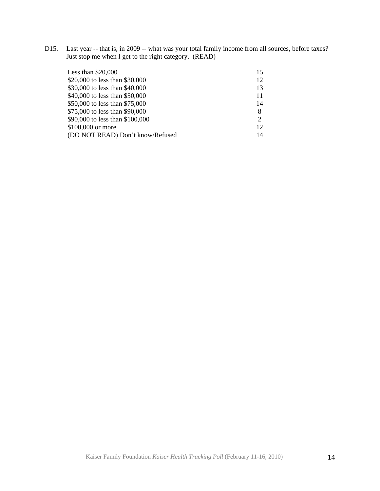D15. Last year -- that is, in 2009 -- what was your total family income from all sources, before taxes? Just stop me when I get to the right category. (READ)

| Less than $$20,000$              | 15                          |
|----------------------------------|-----------------------------|
| \$20,000 to less than \$30,000   | 12                          |
| \$30,000 to less than \$40,000   | 13                          |
| \$40,000 to less than \$50,000   | 11                          |
| \$50,000 to less than \$75,000   | 14                          |
| \$75,000 to less than \$90,000   | 8                           |
| \$90,000 to less than \$100,000  | $\mathcal{D}_{\mathcal{A}}$ |
| \$100,000 or more                | 12                          |
| (DO NOT READ) Don't know/Refused | 14                          |
|                                  |                             |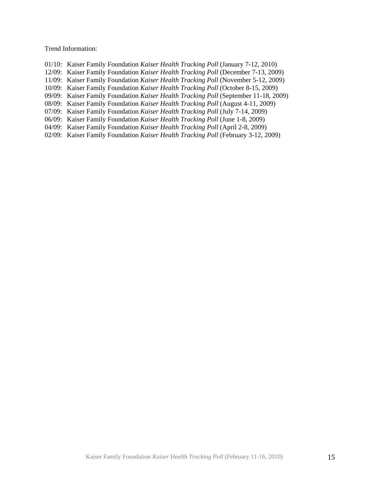Trend Information:

- 01/10: Kaiser Family Foundation *Kaiser Health Tracking Poll* (January 7-12, 2010)
- 12/09: Kaiser Family Foundation *Kaiser Health Tracking Poll* (December 7-13, 2009)
- 11/09: Kaiser Family Foundation *Kaiser Health Tracking Poll* (November 5-12, 2009)
- 10/09: Kaiser Family Foundation *Kaiser Health Tracking Poll* (October 8-15, 2009)
- 09/09: Kaiser Family Foundation *Kaiser Health Tracking Poll* (September 11-18, 2009)
- 08/09: Kaiser Family Foundation *Kaiser Health Tracking Poll* (August 4-11, 2009)
- 07/09: Kaiser Family Foundation *Kaiser Health Tracking Poll* (July 7-14, 2009)
- 06/09: Kaiser Family Foundation *Kaiser Health Tracking Poll* (June 1-8, 2009)
- 04/09: Kaiser Family Foundation *Kaiser Health Tracking Poll* (April 2-8, 2009)
- 02/09: Kaiser Family Foundation *Kaiser Health Tracking Poll* (February 3-12, 2009)